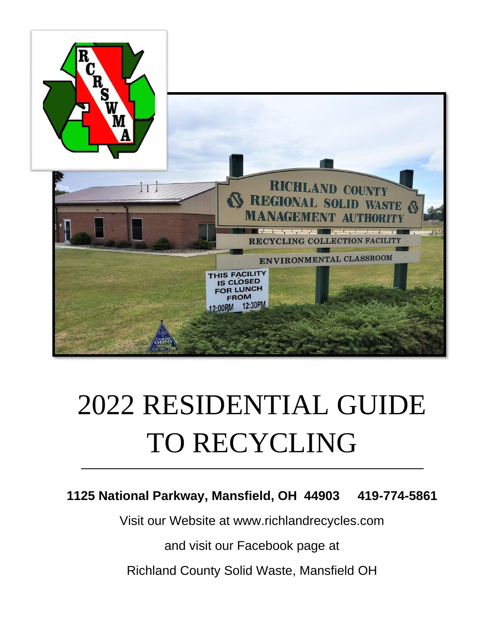

# 2022 RESIDENTIAL GUIDE TO RECYCLING

### **1125 National Parkway, Mansfield, OH 44903 419-774-5861**

Visit our Website at [www.richlandrecycles.com](http://www.richlandrecycles.com/)

and visit our Facebook page at

Richland County Solid Waste, Mansfield OH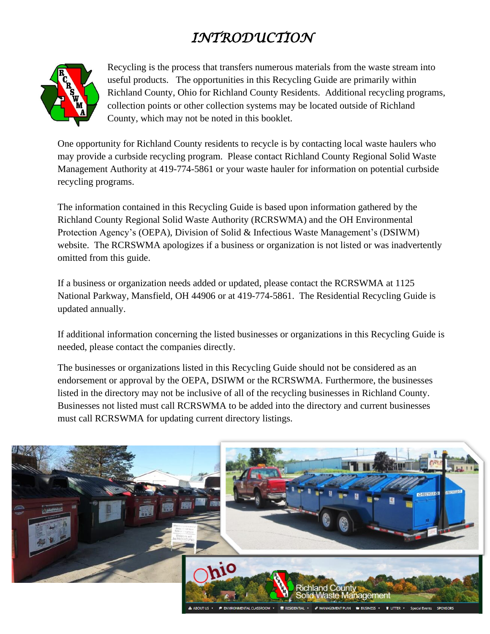# *INTRODUCTION*



Recycling is the process that transfers numerous materials from the waste stream into useful products. The opportunities in this Recycling Guide are primarily within Richland County, Ohio for Richland County Residents. Additional recycling programs, collection points or other collection systems may be located outside of Richland County, which may not be noted in this booklet.

One opportunity for Richland County residents to recycle is by contacting local waste haulers who may provide a curbside recycling program. Please contact Richland County Regional Solid Waste Management Authority at 419-774-5861 or your waste hauler for information on potential curbside recycling programs.

The information contained in this Recycling Guide is based upon information gathered by the Richland County Regional Solid Waste Authority (RCRSWMA) and the OH Environmental Protection Agency's (OEPA), Division of Solid & Infectious Waste Management's (DSIWM) website. The RCRSWMA apologizes if a business or organization is not listed or was inadvertently omitted from this guide.

If a business or organization needs added or updated, please contact the RCRSWMA at 1125 National Parkway, Mansfield, OH 44906 or at 419-774-5861. The Residential Recycling Guide is updated annually.

If additional information concerning the listed businesses or organizations in this Recycling Guide is needed, please contact the companies directly.

The businesses or organizations listed in this Recycling Guide should not be considered as an endorsement or approval by the OEPA, DSIWM or the RCRSWMA. Furthermore, the businesses listed in the directory may not be inclusive of all of the recycling businesses in Richland County. Businesses not listed must call RCRSWMA to be added into the directory and current businesses must call RCRSWMA for updating current directory listings.

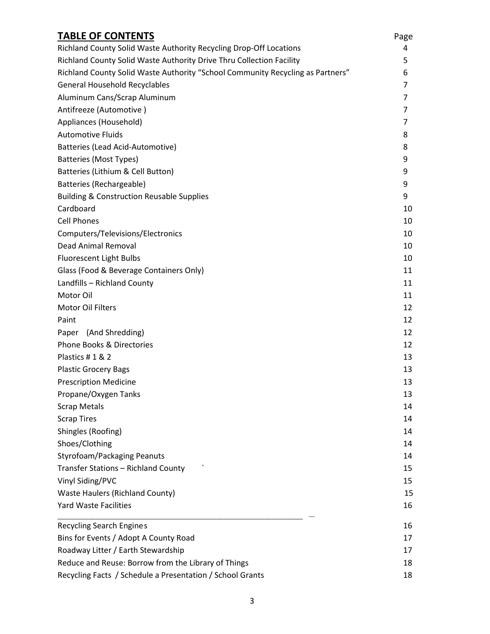| <b>TABLE OF CONTENTS</b>                                                       | Page   |
|--------------------------------------------------------------------------------|--------|
| Richland County Solid Waste Authority Recycling Drop-Off Locations             | 4      |
| Richland County Solid Waste Authority Drive Thru Collection Facility           | 5      |
| Richland County Solid Waste Authority "School Community Recycling as Partners" | 6      |
| <b>General Household Recyclables</b>                                           | 7      |
| Aluminum Cans/Scrap Aluminum<br>Antifreeze (Automotive)                        | 7<br>7 |
|                                                                                |        |
| <b>Automotive Fluids</b><br>Batteries (Lead Acid-Automotive)                   | 8<br>8 |
|                                                                                |        |
| Batteries (Lithium & Cell Button)                                              | 9      |
| Batteries (Rechargeable)                                                       | 9      |
| <b>Building &amp; Construction Reusable Supplies</b>                           | 9      |
| Cardboard                                                                      | 10     |
| <b>Cell Phones</b>                                                             | 10     |
| Computers/Televisions/Electronics                                              | 10     |
| Dead Animal Removal                                                            | 10     |
| <b>Fluorescent Light Bulbs</b>                                                 | 10     |
| Glass (Food & Beverage Containers Only)                                        | 11     |
| Landfills - Richland County                                                    | 11     |
| Motor Oil                                                                      | 11     |
| Motor Oil Filters                                                              | 12     |
| Paint                                                                          | 12     |
| Paper (And Shredding)                                                          | 12     |
| <b>Phone Books &amp; Directories</b>                                           | 12     |
| Plastics #1 & 2                                                                | 13     |
| <b>Plastic Grocery Bags</b>                                                    | 13     |
| <b>Prescription Medicine</b>                                                   | 13     |
| Propane/Oxygen Tanks                                                           | 13     |
| <b>Scrap Metals</b>                                                            | 14     |
| <b>Scrap Tires</b>                                                             | 14     |
| Shingles (Roofing)                                                             | 14     |
| Shoes/Clothing                                                                 | 14     |
| <b>Styrofoam/Packaging Peanuts</b>                                             | 14     |
| Transfer Stations - Richland County                                            | 15     |
| Vinyl Siding/PVC                                                               | 15     |
| <b>Waste Haulers (Richland County)</b>                                         | 15     |
| <b>Yard Waste Facilities</b>                                                   | 16     |
| <b>Recycling Search Engines</b>                                                | 16     |
| Bins for Events / Adopt A County Road                                          | 17     |
| Roadway Litter / Earth Stewardship                                             | 17     |
| Reduce and Reuse: Borrow from the Library of Things                            | 18     |
| Recycling Facts / Schedule a Presentation / School Grants                      | 18     |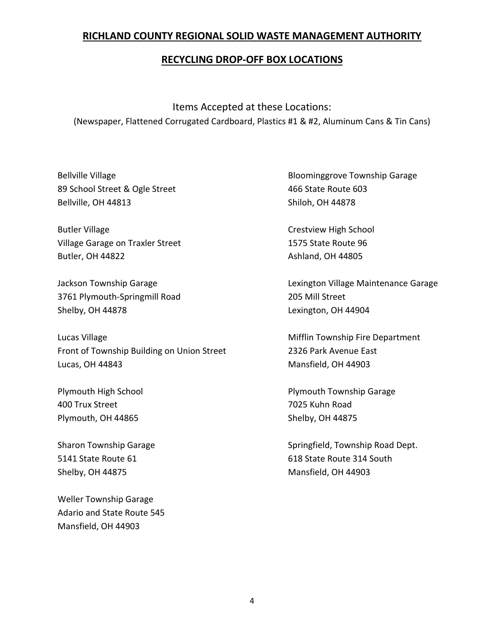#### **RICHLAND COUNTY REGIONAL SOLID WASTE MANAGEMENT AUTHORITY**

#### **RECYCLING DROP-OFF BOX LOCATIONS**

Items Accepted at these Locations: (Newspaper, Flattened Corrugated Cardboard, Plastics #1 & #2, Aluminum Cans & Tin Cans)

89 School Street & Ogle Street 466 State Route 603 Bellville, OH 44813 Shiloh, OH 44878

Butler Village Crestview High School Village Garage on Traxler Street 1575 State Route 96 Butler, OH 44822 Ashland, OH 44805

3761 Plymouth-Springmill Road 205 Mill Street Shelby, OH 44878 Lexington, OH 44904

Lucas Village **Millage** Millage Millage Millage Millage Millage Millage Millage Millage Millage Millage Millage M Front of Township Building on Union Street 2326 Park Avenue East Lucas, OH 44843 Mansfield, OH 44903

400 Trux Street 7025 Kuhn Road Plymouth, OH 44865 Shelby, OH 44875

Shelby, OH 44875 Mansfield, OH 44903

Weller Township Garage Adario and State Route 545 Mansfield, OH 44903

Bellville Village **Bloominggrove Township Garage** 

Jackson Township Garage Lexington Village Maintenance Garage

Plymouth High School **Plymouth Township Garage** 

Sharon Township Garage Springfield, Township Road Dept. 5141 State Route 61 618 State Route 314 South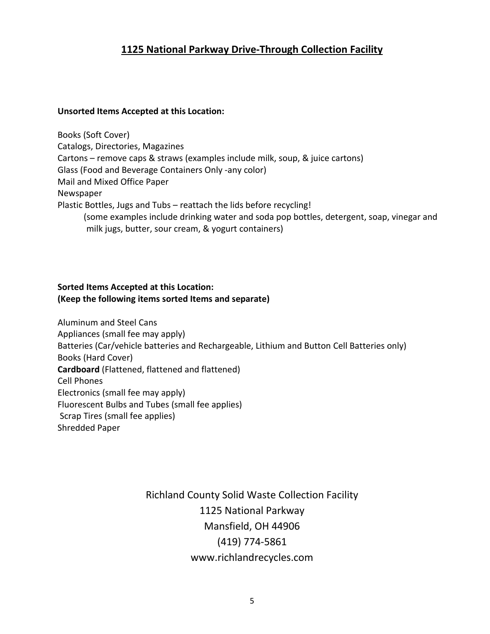#### **1125 National Parkway Drive-Through Collection Facility**

#### **Unsorted Items Accepted at this Location:**

Books (Soft Cover) Catalogs, Directories, Magazines Cartons – remove caps & straws (examples include milk, soup, & juice cartons) Glass (Food and Beverage Containers Only -any color) Mail and Mixed Office Paper Newspaper Plastic Bottles, Jugs and Tubs – reattach the lids before recycling! (some examples include drinking water and soda pop bottles, detergent, soap, vinegar and milk jugs, butter, sour cream, & yogurt containers)

#### **Sorted Items Accepted at this Location: (Keep the following items sorted Items and separate)**

Aluminum and Steel Cans [Appliances](https://www.richlandrecycles.com/?page_id=254) (small fee may apply) Batteries (Car/vehicle batteries and Rechargeable, Lithium and Button Cell Batteries only) Books (Hard Cover) **Cardboard** (Flattened, flattened and flattened) Cell Phones [Electronics](https://www.richlandrecycles.com/?page_id=254) (small fee may apply) [Fluorescent](https://www.richlandrecycles.com/?page_id=101) Bulbs and Tubes (small fee applies) [Scrap](https://www.richlandrecycles.com/?page_id=142) Tires (small fee applies) Shredded Paper

> Richland County Solid Waste Collection Facility 1125 National Parkway Mansfield, OH 44906 (419) 774-5861 www.richlandrecycles.com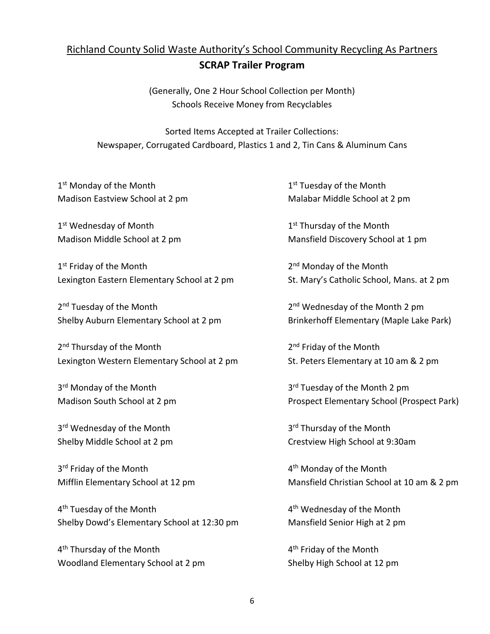#### Richland County Solid Waste Authority's School Community Recycling As Partners

#### **SCRAP Trailer Program**

(Generally, One 2 Hour School Collection per Month) Schools Receive Money from Recyclables

Sorted Items Accepted at Trailer Collections: Newspaper, Corrugated Cardboard, Plastics 1 and 2, Tin Cans & Aluminum Cans

1<sup>st</sup> Monday of the Month 1 Madison Eastview School at 2 pm Malabar Middle School at 2 pm

1<sup>st</sup> Wednesday of Month 1

1<sup>st</sup> Friday of the Month 2 Lexington Eastern Elementary School at 2 pm St. Mary's Catholic School, Mans. at 2 pm

2<sup>nd</sup> Tuesday of the Month 2 Shelby Auburn Elementary School at 2 pm Brinkerhoff Elementary (Maple Lake Park)

2<sup>nd</sup> Thursday of the Month 2001 2003 2004 2012 Lexington Western Elementary School at 2 pm St. Peters Elementary at 10 am & 2 pm

3<sup>rd</sup> Monday of the Month 3

3<sup>rd</sup> Wednesday of the Month 3

3 rd Friday of the Month 4

4 th Tuesday of the Month 4 Shelby Dowd's Elementary School at 12:30 pm Mansfield Senior High at 2 pm

4 th Thursday of the Month 4 Woodland Elementary School at 2 pm Shelby High School at 12 pm

1<sup>st</sup> Tuesday of the Month

1<sup>st</sup> Thursday of the Month Madison Middle School at 2 pm Mansfield Discovery School at 1 pm

2<sup>nd</sup> Monday of the Month

2<sup>nd</sup> Wednesday of the Month 2 pm

2<sup>nd</sup> Friday of the Month

3<sup>rd</sup> Tuesday of the Month 2 pm Madison South School at 2 pm Prospect Elementary School (Prospect Park)

3<sup>rd</sup> Thursday of the Month Shelby Middle School at 2 pm Crestview High School at 9:30am

4<sup>th</sup> Monday of the Month Mifflin Elementary School at 12 pm Mansfield Christian School at 10 am & 2 pm

4<sup>th</sup> Wednesday of the Month

4<sup>th</sup> Friday of the Month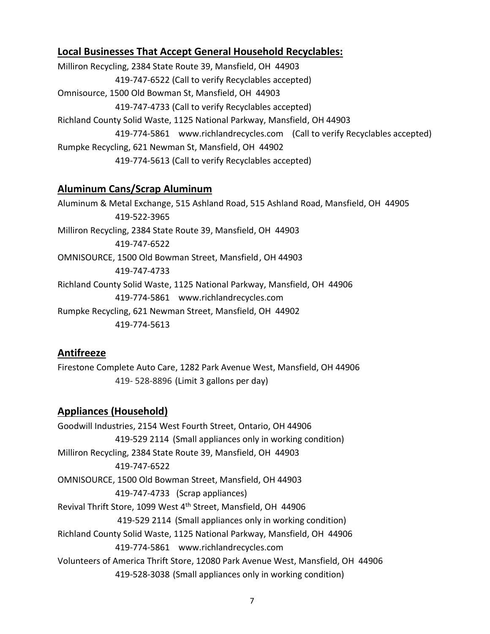#### **Local Businesses That Accept General Household Recyclables:**

Milliron Recycling, 2384 State Route 39, Mansfield, OH 44903 419-747-6522 (Call to verify Recyclables accepted) Omnisource, 1500 Old Bowman St, Mansfield, OH 44903 419-747-4733 (Call to verify Recyclables accepted) Richland County Solid Waste, 1125 National Parkway, Mansfield, OH 44903 419-774-5861 [www.richlandrecycles.com](http://www.richlandrecycles.com/) (Call to verify Recyclables accepted) Rumpke Recycling, 621 Newman St, Mansfield, OH 44902 419-774-5613 (Call to verify Recyclables accepted)

#### **Aluminum Cans/Scrap Aluminum**

Aluminum & Metal Exchange, 515 Ashland Road, 515 Ashland Road, Mansfield, OH 44905 419-522-3965 Milliron Recycling, 2384 State Route 39, Mansfield, OH 44903 419-747-6522 OMNISOURCE, 1500 Old Bowman Street, Mansfield, OH 44903 419-747-4733 Richland County Solid Waste, 1125 National Parkway, Mansfield, OH 44906 419-774-5861 [www.richlandrecycles.com](http://www.richlandrecycles.com/) Rumpke Recycling, 621 Newman Street, Mansfield, OH 44902 419-774-5613

#### **Antifreeze**

Firestone Complete Auto Care, 1282 Park Avenue West, Mansfield, OH 44906 419- 528-8896 (Limit 3 gallons per day)

#### **Appliances (Household)**

Goodwill Industries, 2154 West Fourth Street, Ontario, OH 44906 419-529 2114 (Small appliances only in working condition) Milliron Recycling, 2384 State Route 39, Mansfield, OH 44903 419-747-6522 OMNISOURCE, 1500 Old Bowman Street, Mansfield, OH 44903 419-747-4733 (Scrap appliances) Revival Thrift Store, 1099 West 4th Street, Mansfield, OH 44906 419-529 2114 (Small appliances only in working condition) Richland County Solid Waste, 1125 National Parkway, Mansfield, OH 44906 419-774-5861 [www.richlandrecycles.com](http://www.richlandrecycles.com/) Volunteers of America Thrift Store, 12080 Park Avenue West, Mansfield, OH 44906 419-528-3038 (Small appliances only in working condition)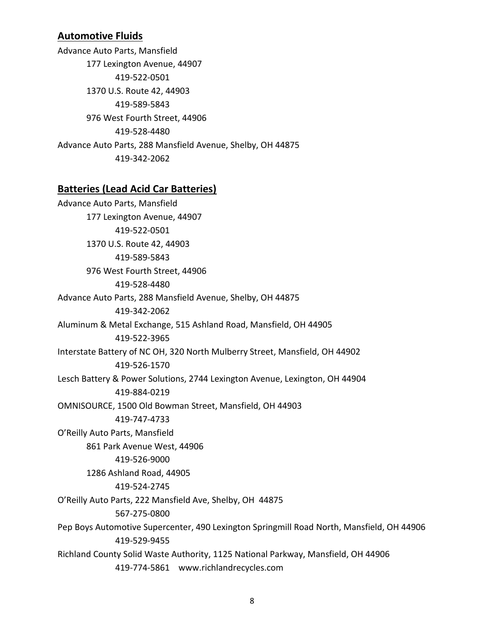#### **Automotive Fluids**

Advance Auto Parts, Mansfield 177 Lexington Avenue, 44907 419-522-0501 1370 U.S. Route 42, 44903 419-589-5843 976 West Fourth Street, 44906 419-528-4480 Advance Auto Parts, 288 Mansfield Avenue, Shelby, OH 44875 419-342-2062

#### **Batteries (Lead Acid Car Batteries)**

Advance Auto Parts, Mansfield 177 Lexington Avenue, 44907 419-522-0501 1370 U.S. Route 42, 44903 419-589-5843 976 West Fourth Street, 44906 419-528-4480 Advance Auto Parts, 288 Mansfield Avenue, Shelby, OH 44875 419-342-2062 Aluminum & Metal Exchange, 515 Ashland Road, Mansfield, OH 44905 419-522-3965 Interstate Battery of NC OH, 320 North Mulberry Street, Mansfield, OH 44902 419-526-1570 Lesch Battery & Power Solutions, 2744 Lexington Avenue, Lexington, OH 44904 419-884-0219 OMNISOURCE, 1500 Old Bowman Street, Mansfield, OH 44903 419-747-4733 O'Reilly Auto Parts, Mansfield 861 Park Avenue West, 44906 419-526-9000 1286 Ashland Road, 44905 419-524-2745 O'Reilly Auto Parts, 222 Mansfield Ave, Shelby, OH 44875 567-275-0800 Pep Boys Automotive Supercenter, 490 Lexington Springmill Road North, Mansfield, OH 44906 419-529-9455 Richland County Solid Waste Authority, 1125 National Parkway, Mansfield, OH 44906 419-774-5861 [www.richlandrecycles.com](http://www.richlandrecycles.com/)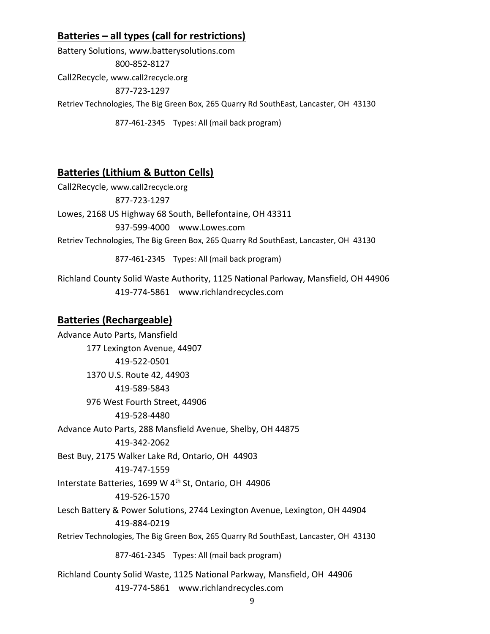#### **Batteries – all types (call for restrictions)**

Battery Solutions, www.batterysolutions.com 800-852-8127 Call2Recycle, [www.call2recycle.org](http://www.call2recycle.org/) 877-723-1297 Retriev Technologies, The Big Green Box, 265 Quarry Rd SouthEast, Lancaster, OH 43130

877-461-2345 Types: All (mail back program)

#### **Batteries (Lithium & Button Cells)**

Call2Recycle, [www.call2recycle.org](http://www.call2recycle.org/) 877-723-1297 Lowes, 2168 US Highway 68 South, Bellefontaine, OH 43311 937-599-4000 [www.Lowes.com](http://www.lowes.com/) Retriev Technologies, The Big Green Box, 265 Quarry Rd SouthEast, Lancaster, OH 43130

877-461-2345 Types: All (mail back program)

Richland County Solid Waste Authority, 1125 National Parkway, Mansfield, OH 44906 419-774-5861 [www.richlandrecycles.com](http://www.richlandrecycles.com/)

#### **Batteries (Rechargeable)**

Advance Auto Parts, Mansfield 177 Lexington Avenue, 44907 419-522-0501 1370 U.S. Route 42, 44903 419-589-5843 976 West Fourth Street, 44906 419-528-4480 Advance Auto Parts, 288 Mansfield Avenue, Shelby, OH 44875 419-342-2062 Best Buy, 2175 Walker Lake Rd, Ontario, OH 44903 419-747-1559 Interstate Batteries, 1699 W 4th St, Ontario, OH 44906 419-526-1570 Lesch Battery & Power Solutions, 2744 Lexington Avenue, Lexington, OH 44904 419-884-0219 Retriev Technologies, The Big Green Box, 265 Quarry Rd SouthEast, Lancaster, OH 43130 877-461-2345 Types: All (mail back program) Richland County Solid Waste, 1125 National Parkway, Mansfield, OH 44906 419-774-5861 [www.richlandrecycles.com](http://www.richlandrecycles.com/)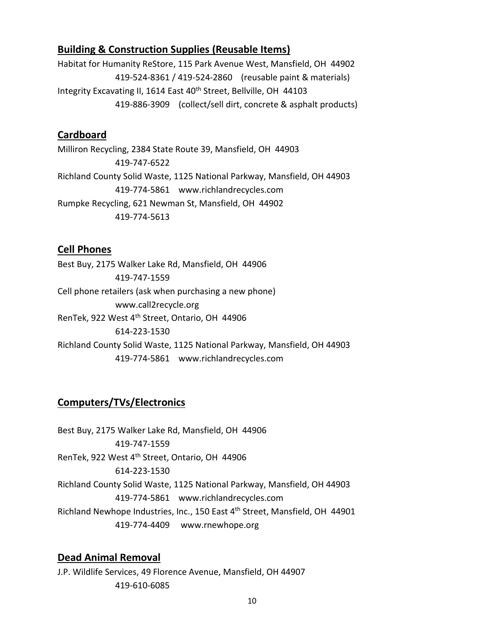#### **Building & Construction Supplies (Reusable Items)**

Habitat for Humanity ReStore, 115 Park Avenue West, Mansfield, OH 44902 419-524-8361 / 419-524-2860 (reusable paint & materials) Integrity Excavating II, 1614 East 40<sup>th</sup> Street, Bellville, OH 44103 419-886-3909 (collect/sell dirt, concrete & asphalt products)

#### **Cardboard**

Milliron Recycling, 2384 State Route 39, Mansfield, OH 44903 419-747-6522 Richland County Solid Waste, 1125 National Parkway, Mansfield, OH 44903 419-774-5861 [www.richlandrecycles.com](http://www.richlandrecycles.com/)  Rumpke Recycling, 621 Newman St, Mansfield, OH 44902 419-774-5613

#### **Cell Phones**

Best Buy, 2175 Walker Lake Rd, Mansfield, OH 44906 419-747-1559 Cell phone retailers (ask when purchasing a new phone) [www.call2recycle.org](http://www.call2recycle.org/) RenTek, 922 West 4th Street, Ontario, OH 44906 614-223-1530 Richland County Solid Waste, 1125 National Parkway, Mansfield, OH 44903 419-774-5861 [www.richlandrecycles.com](http://www.richlandrecycles.com/) 

#### **Computers/TVs/Electronics**

Best Buy, 2175 Walker Lake Rd, Mansfield, OH 44906 419-747-1559 RenTek, 922 West 4th Street, Ontario, OH 44906 614-223-1530 Richland County Solid Waste, 1125 National Parkway, Mansfield, OH 44903 419-774-5861 [www.richlandrecycles.com](http://www.richlandrecycles.com/)  Richland Newhope Industries, Inc., 150 East 4<sup>th</sup> Street, Mansfield, OH 44901 419-774-4409 [www.rnewhope.org](http://www.rnewhope.org/) 

#### **Dead Animal Removal**

J.P. Wildlife Services, 49 Florence Avenue, Mansfield, OH 44907 419-610-6085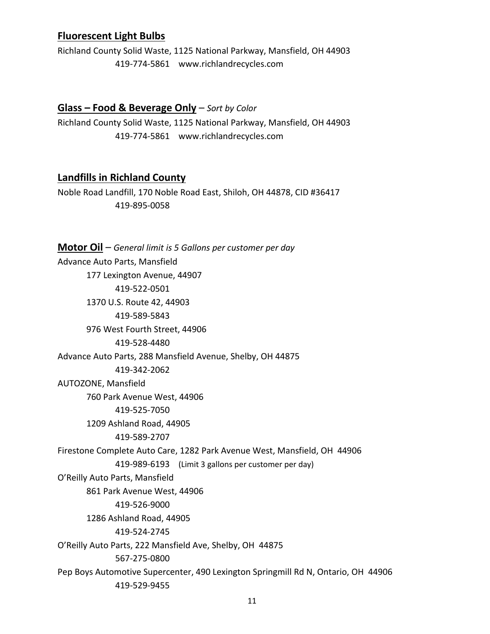#### **Fluorescent Light Bulbs**

Richland County Solid Waste, 1125 National Parkway, Mansfield, OH 44903 419-774-5861 [www.richlandrecycles.com](http://www.richlandrecycles.com/) 

#### **Glass – Food & Beverage Only** – *Sort by Color*

Richland County Solid Waste, 1125 National Parkway, Mansfield, OH 44903 419-774-5861 [www.richlandrecycles.com](http://www.richlandrecycles.com/) 

#### **Landfills in Richland County**

Noble Road Landfill, 170 Noble Road East, Shiloh, OH 44878, CID #36417 419-895-0058

**Motor Oil** – *General limit is 5 Gallons per customer per day* Advance Auto Parts, Mansfield 177 Lexington Avenue, 44907 419-522-0501 1370 U.S. Route 42, 44903 419-589-5843 976 West Fourth Street, 44906 419-528-4480 Advance Auto Parts, 288 Mansfield Avenue, Shelby, OH 44875 419-342-2062 AUTOZONE, Mansfield 760 Park Avenue West, 44906 419-525-7050 1209 Ashland Road, 44905 419-589-2707 Firestone Complete Auto Care, 1282 Park Avenue West, Mansfield, OH 44906 419-989-6193 (Limit 3 gallons per customer per day) O'Reilly Auto Parts, Mansfield 861 Park Avenue West, 44906 419-526-9000 1286 Ashland Road, 44905 419-524-2745 O'Reilly Auto Parts, 222 Mansfield Ave, Shelby, OH 44875 567-275-0800 Pep Boys Automotive Supercenter, 490 Lexington Springmill Rd N, Ontario, OH 44906 419-529-9455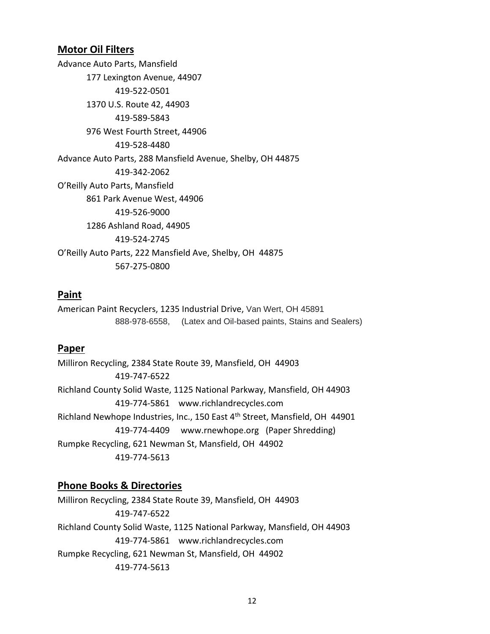#### **Motor Oil Filters**

Advance Auto Parts, Mansfield 177 Lexington Avenue, 44907 419-522-0501 1370 U.S. Route 42, 44903 419-589-5843 976 West Fourth Street, 44906 419-528-4480 Advance Auto Parts, 288 Mansfield Avenue, Shelby, OH 44875 419-342-2062 O'Reilly Auto Parts, Mansfield 861 Park Avenue West, 44906 419-526-9000 1286 Ashland Road, 44905 419-524-2745 O'Reilly Auto Parts, 222 Mansfield Ave, Shelby, OH 44875 567-275-0800

#### **Paint**

American Paint Recyclers, 1235 Industrial Drive, Van Wert, OH 45891 888-978-6558, (Latex and Oil-based paints, Stains and Sealers)

#### **Paper**

Milliron Recycling, 2384 State Route 39, Mansfield, OH 44903 419-747-6522 Richland County Solid Waste, 1125 National Parkway, Mansfield, OH 44903 419-774-5861 [www.richlandrecycles.com](http://www.richlandrecycles.com/)  Richland Newhope Industries, Inc., 150 East 4<sup>th</sup> Street, Mansfield, OH 44901 419-774-4409 [www.rnewhope.org](http://www.rnewhope.org/) (Paper Shredding) Rumpke Recycling, 621 Newman St, Mansfield, OH 44902 419-774-5613

#### **Phone Books & Directories**

Milliron Recycling, 2384 State Route 39, Mansfield, OH 44903 419-747-6522 Richland County Solid Waste, 1125 National Parkway, Mansfield, OH 44903 419-774-5861 [www.richlandrecycles.com](http://www.richlandrecycles.com/)  Rumpke Recycling, 621 Newman St, Mansfield, OH 44902 419-774-5613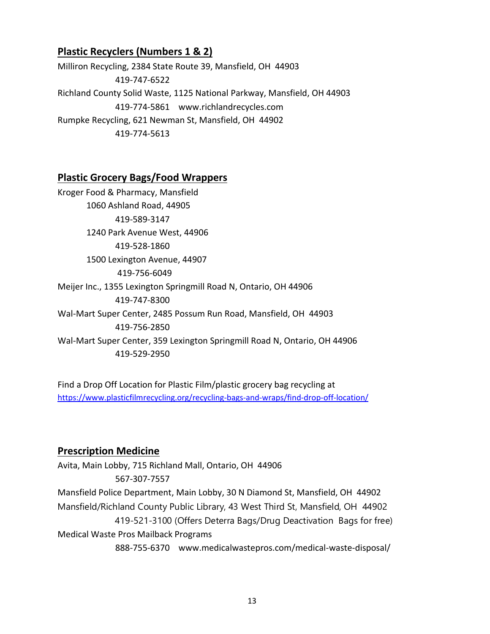#### **Plastic Recyclers (Numbers 1 & 2)**

Milliron Recycling, 2384 State Route 39, Mansfield, OH 44903 419-747-6522 Richland County Solid Waste, 1125 National Parkway, Mansfield, OH 44903 419-774-5861 [www.richlandrecycles.com](http://www.richlandrecycles.com/)  Rumpke Recycling, 621 Newman St, Mansfield, OH 44902 419-774-5613

#### **Plastic Grocery Bags/Food Wrappers**

Kroger Food & Pharmacy, Mansfield 1060 Ashland Road, 44905 419-589-3147 1240 Park Avenue West, 44906 419-528-1860 1500 Lexington Avenue, 44907 419-756-6049 Meijer Inc., 1355 Lexington Springmill Road N, Ontario, OH 44906 419-747-8300 Wal-Mart Super Center, 2485 Possum Run Road, Mansfield, OH 44903 419-756-2850 Wal-Mart Super Center, 359 Lexington Springmill Road N, Ontario, OH 44906 419-529-2950

Find a Drop Off Location for Plastic Film/plastic grocery bag recycling at <https://www.plasticfilmrecycling.org/recycling-bags-and-wraps/find-drop-off-location/>

#### **Prescription Medicine**

Avita, Main Lobby, 715 Richland Mall, Ontario, OH 44906 567-307-7557 Mansfield Police Department, Main Lobby, 30 N Diamond St, Mansfield, OH 44902 Mansfield/Richland County Public Library, 43 West Third St, Mansfield, OH 44902 419-521-3100 (Offers Deterra Bags/Drug Deactivation Bags for free) Medical Waste Pros Mailback Programs 888-755-6370 [www.medicalwastepros.com/medical-waste-disposal/](http://www.medicalwastepros.com/medical-waste-disposal/)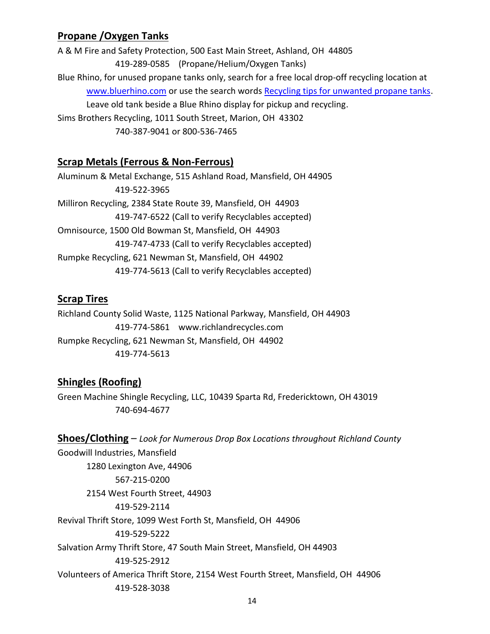#### **Propane /Oxygen Tanks**

A & M Fire and Safety Protection, 500 East Main Street, Ashland, OH 44805 419-289-0585 (Propane/Helium/Oxygen Tanks) Blue Rhino, for unused propane tanks only, search for a free local drop-off recycling location at [www.bluerhino.com](http://www.bluerhino.com/) or use the search words [Recycling tips for unwanted propane tanks.](https://www.bluerhino.com/about/rhino-feed/recycling-tips?fbclid=IwAR3hRyzxnl1kYH8p0KwgI13TtniHvF4-lYfmvcgAOyLaJihBdKNcp9MUakw) Leave old tank beside a Blue Rhino display for pickup and recycling. Sims Brothers Recycling, 1011 South Street, Marion, OH 43302 740-387-9041 or 800-536-7465

#### **Scrap Metals (Ferrous & Non-Ferrous)**

Aluminum & Metal Exchange, 515 Ashland Road, Mansfield, OH 44905 419-522-3965 Milliron Recycling, 2384 State Route 39, Mansfield, OH 44903 419-747-6522 (Call to verify Recyclables accepted) Omnisource, 1500 Old Bowman St, Mansfield, OH 44903 419-747-4733 (Call to verify Recyclables accepted) Rumpke Recycling, 621 Newman St, Mansfield, OH 44902 419-774-5613 (Call to verify Recyclables accepted)

#### **Scrap Tires**

Richland County Solid Waste, 1125 National Parkway, Mansfield, OH 44903 419-774-5861 [www.richlandrecycles.com](http://www.richlandrecycles.com/)  Rumpke Recycling, 621 Newman St, Mansfield, OH 44902 419-774-5613

#### **Shingles (Roofing)**

Green Machine Shingle Recycling, LLC, 10439 Sparta Rd, Fredericktown, OH 43019 740-694-4677

**Shoes/Clothing** – *Look for Numerous Drop Box Locations throughout Richland County*

Goodwill Industries, Mansfield 1280 Lexington Ave, 44906 567-215-0200 2154 West Fourth Street, 44903 419-529-2114 Revival Thrift Store, 1099 West Forth St, Mansfield, OH 44906 419-529-5222 Salvation Army Thrift Store, 47 South Main Street, Mansfield, OH 44903 419-525-2912 Volunteers of America Thrift Store, 2154 West Fourth Street, Mansfield, OH 44906 419-528-3038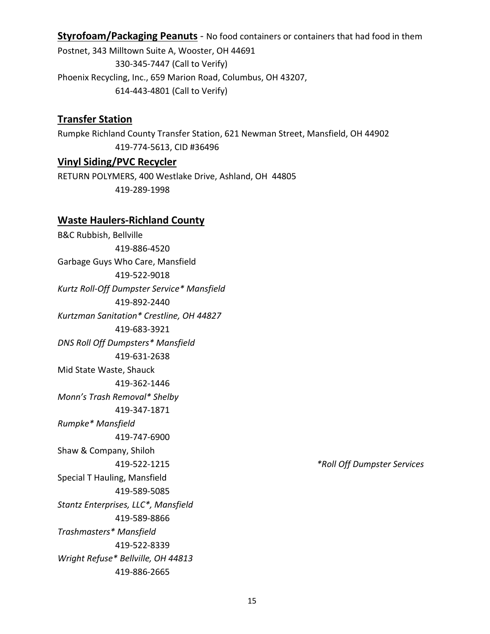**Styrofoam/Packaging Peanuts** - No food containers or containers that had food in them

Postnet, 343 Milltown Suite A, Wooster, OH 44691 330-345-7447 (Call to Verify) Phoenix Recycling, Inc., 659 Marion Road, Columbus, OH 43207, 614-443-4801 (Call to Verify)

#### **Transfer Station**

Rumpke Richland County Transfer Station, 621 Newman Street, Mansfield, OH 44902 419-774-5613, CID #36496

#### **Vinyl Siding/PVC Recycler**

RETURN POLYMERS, 400 Westlake Drive, Ashland, OH 44805 419-289-1998

#### **Waste Haulers-Richland County**

B&C Rubbish, Bellville 419-886-4520 Garbage Guys Who Care, Mansfield 419-522-9018 *Kurtz Roll-Off Dumpster Service\* Mansfield* 419-892-2440 *Kurtzman Sanitation\* Crestline, OH 44827* 419-683-3921 *DNS Roll Off Dumpsters\* Mansfield* 419-631-2638 Mid State Waste, Shauck 419-362-1446 *Monn's Trash Removal\* Shelby* 419-347-1871 *Rumpke\* Mansfield* 419-747-6900 Shaw & Company, Shiloh 419-522-1215 *\*Roll Off Dumpster Services* Special T Hauling, Mansfield 419-589-5085 *Stantz Enterprises, LLC\*, Mansfield* 419-589-8866 *Trashmasters\* Mansfield* 419-522-8339 *Wright Refuse\* Bellville, OH 44813* 419-886-2665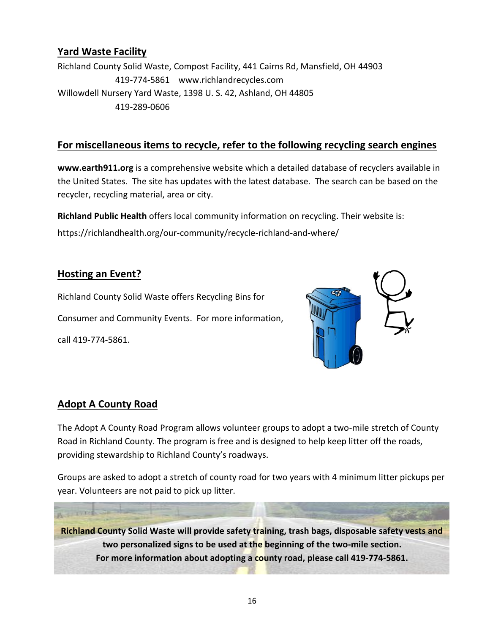#### **Yard Waste Facility**

Richland County Solid Waste, Compost Facility, 441 Cairns Rd, Mansfield, OH 44903 419-774-5861 [www.richlandrecycles.com](http://www.richlandrecycles.com/)  Willowdell Nursery Yard Waste, 1398 U. S. 42, Ashland, OH 44805 419-289-0606

#### **For miscellaneous items to recycle, refer to the following recycling search engines**

**www.earth911.org** is a comprehensive website which a detailed database of recyclers available in the United States. The site has updates with the latest database. The search can be based on the recycler, recycling material, area or city.

**Richland Public Health** offers local community information on recycling. Their website is: <https://richlandhealth.org/our-community/recycle-richland-and-where/>

#### **Hosting an Event?**

Richland County Solid Waste offers Recycling Bins for Consumer and Community Events. For more information, call 419-774-5861.



#### **Adopt A County Road**

The Adopt A County Road Program allows volunteer groups to adopt a two-mile stretch of County Road in Richland County. The program is free and is designed to help keep litter off the roads, providing stewardship to Richland County's roadways.

Groups are asked to adopt a stretch of county road for two years with 4 minimum litter pickups per year. Volunteers are not paid to pick up litter.

**Richland County Solid Waste will provide safety training, trash bags, disposable safety vests and two personalized signs to be used at the beginning of the two-mile section. For more information about adopting a county road, please call 419-774-5861.**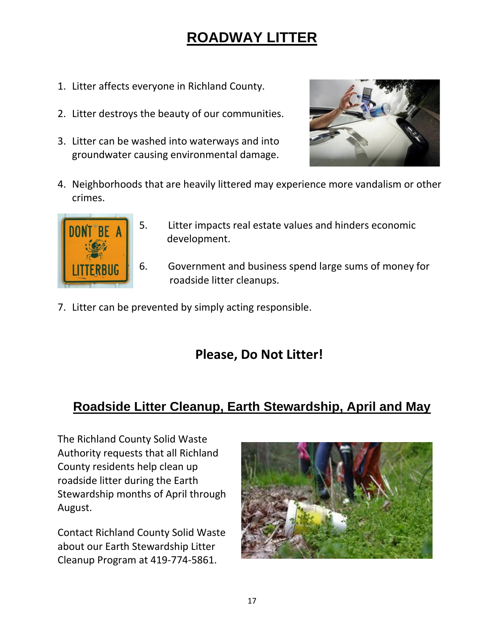# **ROADWAY LITTER**

- 1. Litter affects everyone in Richland County.
- 2. Litter destroys the beauty of our communities.
- 3. Litter can be washed into waterways and into groundwater causing environmental damage.



4. Neighborhoods that are heavily littered may experience more vandalism or other crimes.



- 5. Litter impacts real estate values and hinders economic development.
- 6. Government and business spend large sums of money for roadside litter cleanups.
- 7. Litter can be prevented by simply acting responsible.

## **Please, Do Not Litter!**

## **Roadside Litter Cleanup, Earth Stewardship, April and May**

The Richland County Solid Waste Authority requests that all Richland County residents help clean up roadside litter during the Earth Stewardship months of April through August.

Contact Richland County Solid Waste about our Earth Stewardship Litter Cleanup Program at 419-774-5861.